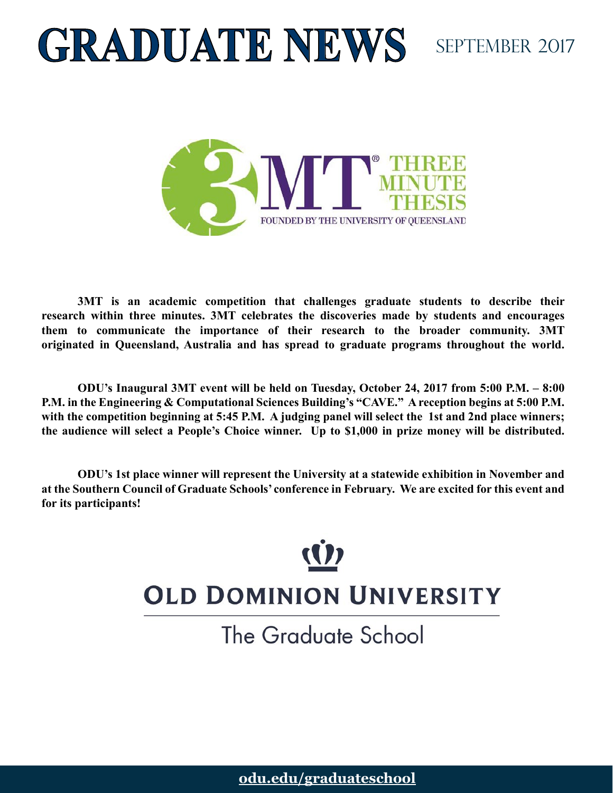# **GRADUATE NEWS** SEPTEMBER 2017



**3MT is an academic competition that challenges graduate students to describe their research within three minutes. 3MT celebrates the discoveries made by students and encourages them to communicate the importance of their research to the broader community. 3MT originated in Queensland, Australia and has spread to graduate programs throughout the world.** 

**ODU's Inaugural 3MT event will be held on Tuesday, October 24, 2017 from 5:00 P.M. – 8:00 P.M. in the Engineering & Computational Sciences Building's "CAVE." A reception begins at 5:00 P.M. with the competition beginning at 5:45 P.M. A judging panel will select the 1st and 2nd place winners; the audience will select a People's Choice winner. Up to \$1,000 in prize money will be distributed.**

**ODU's 1st place winner will represent the University at a statewide exhibition in November and at the Southern Council of Graduate Schools' conference in February. We are excited for this event and for its participants!**

## (() **OLD DOMINION UNIVERSITY**

The Graduate School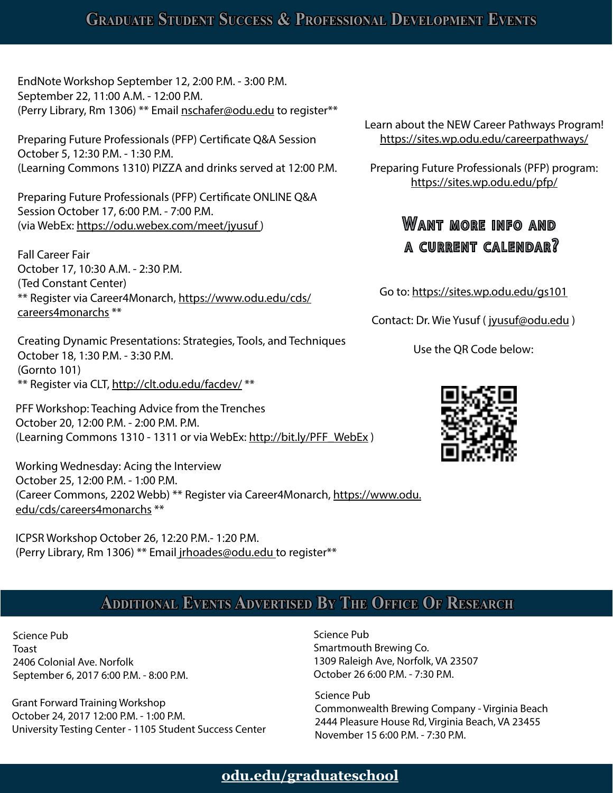#### **Graduate Student Success & Professional Development Events**

EndNote Workshop September 12, 2:00 P.M. - 3:00 P.M. September 22, 11:00 A.M. - 12:00 P.M. (Perry Library, Rm 1306) \*\* Email [nschafer@odu.edu](mailto:nschafer%40odu.edu) to register\*\*

Preparing Future Professionals (PFP) Certificate Q&A Session October 5, 12:30 P.M. - 1:30 P.M. (Learning Commons 1310) PIZZA and drinks served at 12:00 P.M.

Preparing Future Professionals (PFP) Certificate ONLINE Q&A Session October 17, 6:00 P.M. - 7:00 P.M. (via WebEx: https://odu.webex.com/meet/jyusuf )

Fall Career Fair October 17, 10:30 A.M. - 2:30 P.M. (Ted Constant Center) \*\* Register via Career4Monarch, [https://www.odu.edu/cds/](https://www.odu.edu/cds/careers4monarchs) [careers4monarchs](https://www.odu.edu/cds/careers4monarchs) \*\*

Creating Dynamic Presentations: Strategies, Tools, and Techniques October 18, 1:30 P.M. - 3:30 P.M. (Gornto 101) \*\* Register via CLT,<http://clt.odu.edu/facdev/>\*\*

PFF Workshop: Teaching Advice from the Trenches October 20, 12:00 P.M. - 2:00 P.M. P.M. (Learning Commons 1310 - 1311 or via WebEx: [http://bit.ly/PFF\\_WebEx](http://bit.ly/PFF_WebEx) )

Working Wednesday: Acing the Interview October 25, 12:00 P.M. - 1:00 P.M. (Career Commons, 2202 Webb) \*\* Register via Career4Monarch, [https://www.odu.](https://www.odu.edu/cds/careers4monarchs) [edu/cds/careers4monarchs](https://www.odu.edu/cds/careers4monarchs) \*\*

ICPSR Workshop October 26, 12:20 P.M.- 1:20 P.M. (Perry Library, Rm 1306) \*\* Email [jrhoades@odu.edu](mailto:%20jrhoades%40odu.edu) to register\*\* Learn about the NEW Career Pathways Program! <https://sites.wp.odu.edu/careerpathways/>

Preparing Future Professionals (PFP) program: <https://sites.wp.odu.edu/pfp/>

#### Want more info and A CURRENT CALENDAR?

Go to: https://sites.wp.odu.edu/gs101

Contact: Dr. Wie Yusuf ( [jyusuf@odu.edu](mailto:jyusuf%40odu.edu) )

Use the QR Code below:



#### **Additional Events Advertised By The Office Of Research**

Science Pub Toast 2406 Colonial Ave. Norfolk September 6, 2017 6:00 P.M. - 8:00 P.M.

Grant Forward Training Workshop October 24, 2017 12:00 P.M. - 1:00 P.M. University Testing Center - 1105 Student Success Center Science Pub Smartmouth Brewing Co. 1309 Raleigh Ave, Norfolk, VA 23507 October 26 6:00 P.M. - 7:30 P.M.

Science Pub Commonwealth Brewing Company - Virginia Beach 2444 Pleasure House Rd, Virginia Beach, VA 23455 November 15 6:00 P.M. - 7:30 P.M.

#### **odu.edu/graduateschool odu.edu/graduateschool**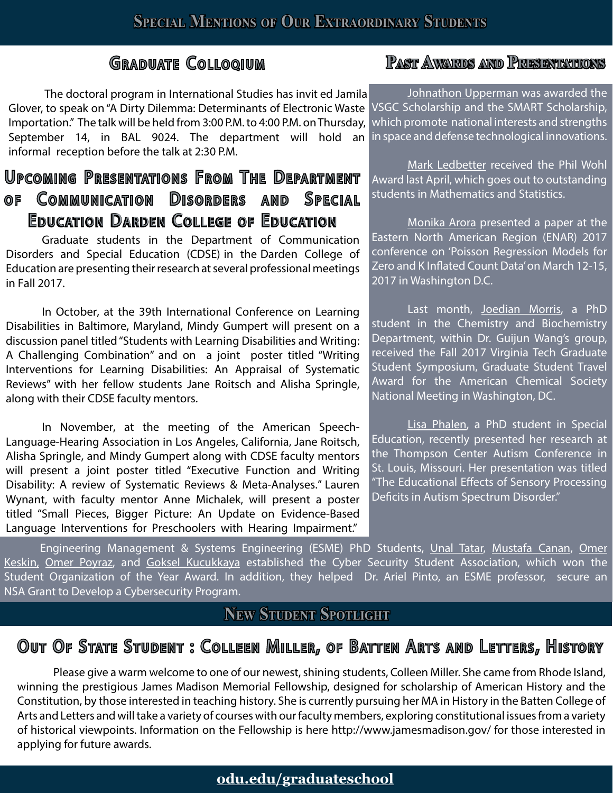The doctoral program in International Studies has invi Glover, to speak on "A Dirty Dilemma: Determinants of Electronic Waste VSGC Scholarship and the SMART Scholarship, Importation." The talk will be held from 3:00 P.M. to 4:00 P.M. on Thursday, September 14, in BAL 9024. The department will hold an inspace and defense technological innovations. informal reception before the talk at 2:30 P.M.

#### Upcoming Presentations From The Department of Communication Disorders and Special EDUCATION DARDEN COLLEGE OF EDUCATION

Graduate students in the Department of Communication Disorders and Special Education (CDSE) in the Darden College of Education are presenting their research at several professional meetings in Fall 2017.

In October, at the 39th International Conference on Learning Disabilities in Baltimore, Maryland, Mindy Gumpert will present on a discussion panel titled "Students with Learning Disabilities and Writing: A Challenging Combination" and on a joint poster titled "Writing Interventions for Learning Disabilities: An Appraisal of Systematic Reviews" with her fellow students Jane Roitsch and Alisha Springle, along with their CDSE faculty mentors.

In November, at the meeting of the American Speech-Language-Hearing Association in Los Angeles, California, Jane Roitsch, Alisha Springle, and Mindy Gumpert along with CDSE faculty mentors will present a joint poster titled "Executive Function and Writing Disability: A review of Systematic Reviews & Meta-Analyses." Lauren Wynant, with faculty mentor Anne Michalek, will present a poster titled "Small Pieces, Bigger Picture: An Update on Evidence-Based Language Interventions for Preschoolers with Hearing Impairment."

#### G **Past Awards and Presentations**

Johnathon Upperman was awarded the which promote national interests and strengths

Mark Ledbetter received the Phil Wohl Award last April, which goes out to outstanding students in Mathematics and Statistics.

Monika Arora presented a paper at the Eastern North American Region (ENAR) 2017 conference on 'Poisson Regression Models for Zero and K Inflated Count Data' on March 12-15, 2017 in Washington D.C.

Last month, Joedian Morris, a PhD student in the Chemistry and Biochemistry Department, within Dr. Guijun Wang's group, received the Fall 2017 Virginia Tech Graduate Student Symposium, Graduate Student Travel Award for the American Chemical Society National Meeting in Washington, DC.

Lisa Phalen, a PhD student in Special Education, recently presented her research at the Thompson Center Autism Conference in St. Louis, Missouri. Her presentation was titled "The Educational Effects of Sensory Processing Deficits in Autism Spectrum Disorder."

Engineering Management & Systems Engineering (ESME) PhD Students, Unal Tatar, Mustafa Canan, Omer Keskin, Omer Poyraz, and Goksel Kucukkaya established the Cyber Security Student Association, which won the Student Organization of the Year Award. In addition, they helped Dr. Ariel Pinto, an ESME professor, secure an NSA Grant to Develop a Cybersecurity Program.

#### **New Student Spotlight**

## Out Of State Student : Colleen Miller, of Batten Arts and Letters, History

Please give a warm welcome to one of our newest, shining students, Colleen Miller. She came from Rhode Island, winning the prestigious James Madison Memorial Fellowship, designed for scholarship of American History and the Constitution, by those interested in teaching history. She is currently pursuing her MA in History in the Batten College of Arts and Letters and will take a variety of courses with our faculty members, exploring constitutional issues from a variety of historical viewpoints. Information on the Fellowship is here http://www.jamesmadison.gov/ for those interested in applying for future awards.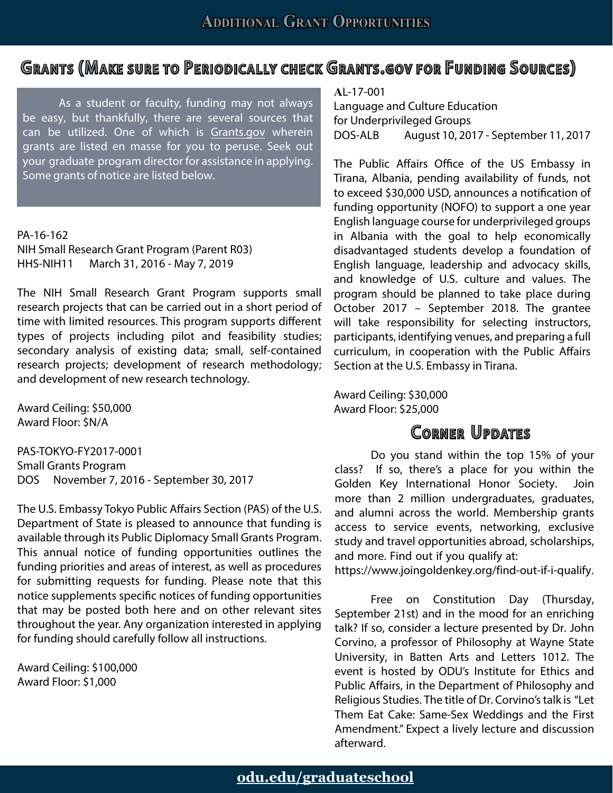#### Grants (Make sure to Periodically check Grants.gov for Funding Sources)

As a student or faculty, funding may not always be easy, but thankfully, there are several sources that can be utilized. One of which is [Grants.gov](https://Grants.gov) wherein grants are listed en masse for you to peruse. Seek out your graduate program director for assistance in applying. Some grants of notice are listed below.

PA-16-162 NIH Small Research Grant Program (Parent R03) HHS-NIH11 March 31, 2016 - May 7, 2019

The NIH Small Research Grant Program supports small research projects that can be carried out in a short period of time with limited resources. This program supports different types of projects including pilot and feasibility studies; secondary analysis of existing data; small, self-contained research projects; development of research methodology; and development of new research technology.

Award Ceiling: \$50,000 Award Floor: \$N/A

PAS-TOKYO-FY2017-0001 Small Grants Program DOS November 7, 2016 - September 30, 2017

The U.S. Embassy Tokyo Public Affairs Section (PAS) of the U.S. Department of State is pleased to announce that funding is available through its Public Diplomacy Small Grants Program. This annual notice of funding opportunities outlines the funding priorities and areas of interest, as well as procedures for submitting requests for funding. Please note that this notice supplements specific notices of funding opportunities that may be posted both here and on other relevant sites throughout the year. Any organization interested in applying for funding should carefully follow all instructions.

Award Ceiling: \$100,000 Award Floor: \$1,000

**A**L-17-001 Language and Culture Education for Underprivileged Groups DOS-ALB August 10, 2017 - September 11, 2017

The Public Affairs Office of the US Embassy in Tirana, Albania, pending availability of funds, not to exceed \$30,000 USD, announces a notification of funding opportunity (NOFO) to support a one year English language course for underprivileged groups in Albania with the goal to help economically disadvantaged students develop a foundation of English language, leadership and advocacy skills, and knowledge of U.S. culture and values. The program should be planned to take place during October 2017 – September 2018. The grantee will take responsibility for selecting instructors, participants, identifying venues, and preparing a full curriculum, in cooperation with the Public Affairs Section at the U.S. Embassy in Tirana.

Award Ceiling: \$30,000 Award Floor: \$25,000

#### **CORNER UPDATES**

Do you stand within the top 15% of your class? If so, there's a place for you within the Golden Key International Honor Society. Join more than 2 million undergraduates, graduates, and alumni across the world. Membership grants access to service events, networking, exclusive study and travel opportunities abroad, scholarships, and more. Find out if you qualify at:

[https://www.joingoldenkey.org/find-out-if-i-qualify.](https://www.joingoldenkey.org/find-out-if-i-qualify)

Free on Constitution Day (Thursday, September 21st) and in the mood for an enriching talk? If so, consider a lecture presented by Dr. John Corvino, a professor of Philosophy at Wayne State University, in Batten Arts and Letters 1012. The event is hosted by ODU's Institute for Ethics and Public Affairs, in the Department of Philosophy and Religious Studies. The title of Dr. Corvino's talk is "Let Them Eat Cake: Same-Sex Weddings and the First Amendment." Expect a lively lecture and discussion afterward.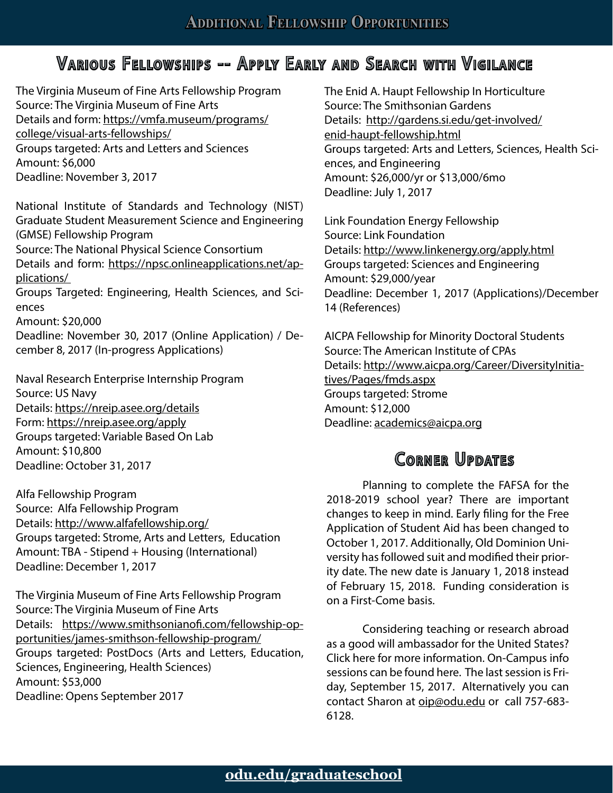#### Various Fellowships -- Apply Early and Search with Vigilance

The Virginia Museum of Fine Arts Fellowship Program Source: The Virginia Museum of Fine Arts Details and form: [https://vmfa.museum/programs/](https://vmfa.museum/programs/college/visual-arts-fellowships/) [college/visual-arts-fellowships/](https://vmfa.museum/programs/college/visual-arts-fellowships/) Groups targeted: Arts and Letters and Sciences Amount: \$6,000 Deadline: November 3, 2017

National Institute of Standards and Technology (NIST) Graduate Student Measurement Science and Engineering (GMSE) Fellowship Program

Source: The National Physical Science Consortium

Details and form: [https://npsc.onlineapplications.net/ap](https://npsc.onlineapplications.net/applications/)[plications/](https://npsc.onlineapplications.net/applications/) 

Groups Targeted: Engineering, Health Sciences, and Sciences

Amount: \$20,000

Deadline: November 30, 2017 (Online Application) / December 8, 2017 (In-progress Applications)

Naval Research Enterprise Internship Program Source: US Navy Details:<https://nreip.asee.org/details> Form: <https://nreip.asee.org/apply> Groups targeted: Variable Based On Lab Amount: \$10,800 Deadline: October 31, 2017

Alfa Fellowship Program Source: Alfa Fellowship Program Details:<http://www.alfafellowship.org/> Groups targeted: Strome, Arts and Letters, Education Amount: TBA - Stipend + Housing (International) Deadline: December 1, 2017

The Virginia Museum of Fine Arts Fellowship Program Source: The Virginia Museum of Fine Arts Details: [https://www.smithsonianofi.com/fellowship-op](https://www.smithsonianofi.com/fellowship-opportunities/james-smithson-fellowship-program/)[portunities/james-smithson-fellowship-program/](https://www.smithsonianofi.com/fellowship-opportunities/james-smithson-fellowship-program/) Groups targeted: PostDocs (Arts and Letters, Education, Sciences, Engineering, Health Sciences) Amount: \$53,000 Deadline: Opens September 2017

The Enid A. Haupt Fellowship In Horticulture Source: The Smithsonian Gardens Details: [http://gardens.si.edu/get-involved/](http://gardens.si.edu/get-involved/enid-haupt-fellowship.html) [enid-haupt-fellowship.html](http://gardens.si.edu/get-involved/enid-haupt-fellowship.html) Groups targeted: Arts and Letters, Sciences, Health Sciences, and Engineering Amount: \$26,000/yr or \$13,000/6mo Deadline: July 1, 2017

Link Foundation Energy Fellowship Source: Link Foundation Details:<http://www.linkenergy.org/apply.html> Groups targeted: Sciences and Engineering Amount: \$29,000/year Deadline: December 1, 2017 (Applications)/December 14 (References)

AICPA Fellowship for Minority Doctoral Students Source: The American Institute of CPAs Details: [http://www.aicpa.org/Career/DiversityInitia](http://www.aicpa.org/Career/DiversityInitiatives/Pages/fmds.aspx)[tives/Pages/fmds.aspx](http://www.aicpa.org/Career/DiversityInitiatives/Pages/fmds.aspx) Groups targeted: Strome Amount: \$12,000 Deadline: [academics@aicpa.org](academics%40aicpa.org)

#### CORNER UPDATES

Planning to complete the FAFSA for the 2018-2019 school year? There are important changes to keep in mind. Early filing for the Free Application of Student Aid has been changed to October 1, 2017. Additionally, Old Dominion University has followed suit and modified their priority date. The new date is January 1, 2018 instead of February 15, 2018. Funding consideration is on a First-Come basis.

Considering teaching or research abroad as a good will ambassador for the United States? Click here for more information. On-Campus info sessions can be found here. The last session is Friday, September 15, 2017. Alternatively you can contact Sharon at [oip@odu.edu](mailto:oip%40odu.edu) or call 757-683-6128.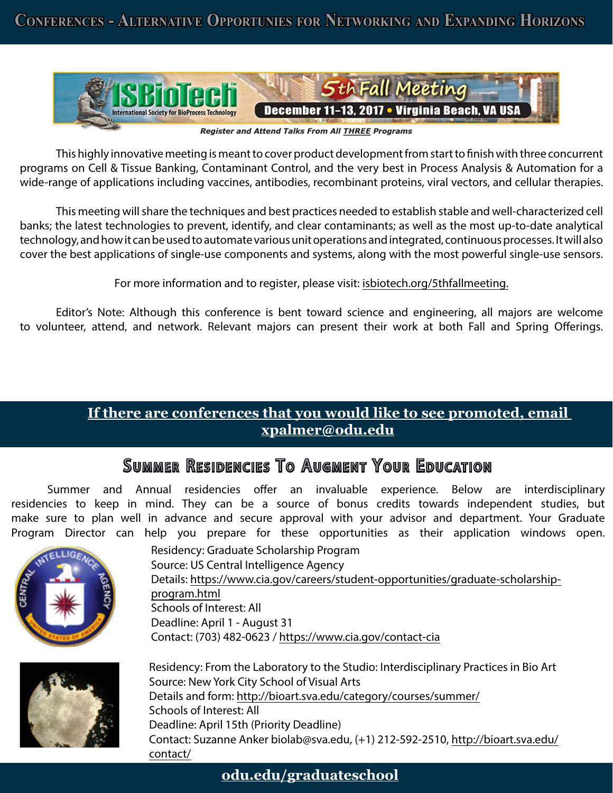

Register and Attend Talks From All **THREE** Programs

This highly innovative meeting is meant to cover product development from start to finish with three concurrent programs on Cell & Tissue Banking, Contaminant Control, and the very best in Process Analysis & Automation for a wide-range of applications including vaccines, antibodies, recombinant proteins, viral vectors, and cellular therapies.

This meeting will share the techniques and best practices needed to establish stable and well-characterized cell banks; the latest technologies to prevent, identify, and clear contaminants; as well as the most up-to-date analytical technology, and how it can be used to automate various unit operations and integrated, continuous processes. It will also cover the best applications of single-use components and systems, along with the most powerful single-use sensors.

For more information and to register, please visit:<isbiotech.org/5thfallmeeting>.

Editor's Note: Although this conference is bent toward science and engineering, all majors are welcome to volunteer, attend, and network. Relevant majors can present their work at both Fall and Spring Offerings.

#### **If there are conferences that you would like to see promoted, email xpalmer@odu.edu**

#### SUMMER RESIDENCIES TO AUGMENT YOUR EDUCATION

Summer and Annual residencies offer an invaluable experience. Below are interdisciplinary residencies to keep in mind. They can be a source of bonus credits towards independent studies, but make sure to plan well in advance and secure approval with your advisor and department. Your Graduate Program Director can help you prepare for these opportunities as their application windows open.





Residency: Graduate Scholarship Program Source: US Central Intelligence Agency Details: [https://www.cia.gov/careers/student-opportunities/graduate-scholarship](https://www.cia.gov/careers/student-opportunities/graduate-scholarship-program.html)[program.html](https://www.cia.gov/careers/student-opportunities/graduate-scholarship-program.html) Schools of Interest: All Deadline: April 1 - August 31 Contact: (703) 482-0623 /<https://www.cia.gov/contact-cia>

Residency: From the Laboratory to the Studio: Interdisciplinary Practices in Bio Art Source: New York City School of Visual Arts Details and form:<http://bioart.sva.edu/category/courses/summer/> Schools of Interest: All Deadline: April 15th (Priority Deadline) Contact: Suzanne Anker [biolab@sva.edu](mailto:biolab%40sva.edu), (+1) 212-592-2510, [http://bioart.sva.edu/](http://bioart.sva.edu/contact/) [contact/](http://bioart.sva.edu/contact/)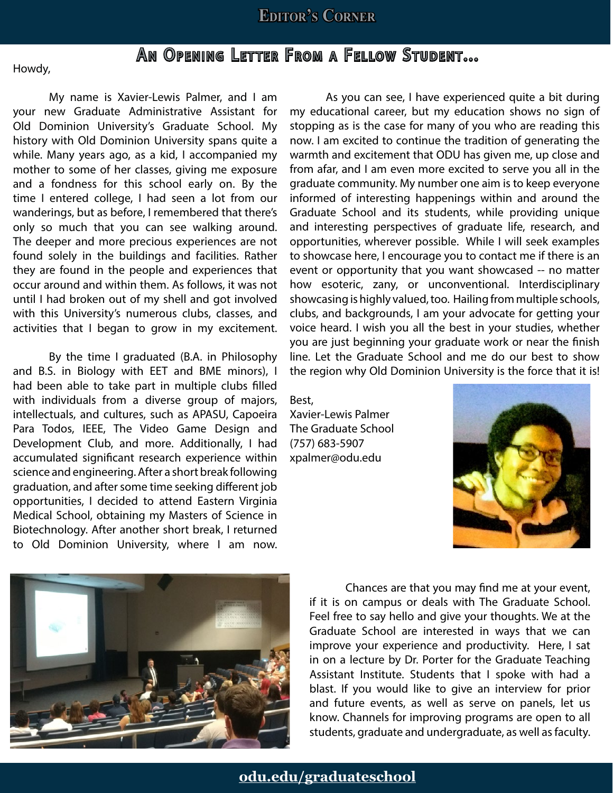#### **Editor's Corner**

### AN OPENING LETTER FROM A FELLOW STUDENT...

Howdy,

My name is Xavier-Lewis Palmer, and I am your new Graduate Administrative Assistant for Old Dominion University's Graduate School. My history with Old Dominion University spans quite a while. Many years ago, as a kid, I accompanied my mother to some of her classes, giving me exposure and a fondness for this school early on. By the time I entered college, I had seen a lot from our wanderings, but as before, I remembered that there's only so much that you can see walking around. The deeper and more precious experiences are not found solely in the buildings and facilities. Rather they are found in the people and experiences that occur around and within them. As follows, it was not until I had broken out of my shell and got involved with this University's numerous clubs, classes, and activities that I began to grow in my excitement.

By the time I graduated (B.A. in Philosophy and B.S. in Biology with EET and BME minors), I had been able to take part in multiple clubs filled with individuals from a diverse group of majors, intellectuals, and cultures, such as APASU, Capoeira Para Todos, IEEE, The Video Game Design and Development Club, and more. Additionally, I had accumulated significant research experience within science and engineering. After a short break following graduation, and after some time seeking different job opportunities, I decided to attend Eastern Virginia Medical School, obtaining my Masters of Science in Biotechnology. After another short break, I returned to Old Dominion University, where I am now.

As you can see, I have experienced quite a bit during my educational career, but my education shows no sign of stopping as is the case for many of you who are reading this now. I am excited to continue the tradition of generating the warmth and excitement that ODU has given me, up close and from afar, and I am even more excited to serve you all in the graduate community. My number one aim is to keep everyone informed of interesting happenings within and around the Graduate School and its students, while providing unique and interesting perspectives of graduate life, research, and opportunities, wherever possible. While I will seek examples to showcase here, I encourage you to contact me if there is an event or opportunity that you want showcased -- no matter how esoteric, zany, or unconventional. Interdisciplinary showcasing is highly valued, too. Hailing from multiple schools, clubs, and backgrounds, I am your advocate for getting your voice heard. I wish you all the best in your studies, whether you are just beginning your graduate work or near the finish line. Let the Graduate School and me do our best to show the region why Old Dominion University is the force that it is!

Best,

Xavier-Lewis Palmer The Graduate School (757) 683-5907 [xpalmer@odu.edu](Mailto:xpalmer@odu.edu)





Chances are that you may find me at your event, if it is on campus or deals with The Graduate School. Feel free to say hello and give your thoughts. We at the Graduate School are interested in ways that we can improve your experience and productivity. Here, I sat in on a lecture by Dr. Porter for the Graduate Teaching Assistant Institute. Students that I spoke with had a blast. If you would like to give an interview for prior and future events, as well as serve on panels, let us know. Channels for improving programs are open to all students, graduate and undergraduate, as well as faculty.